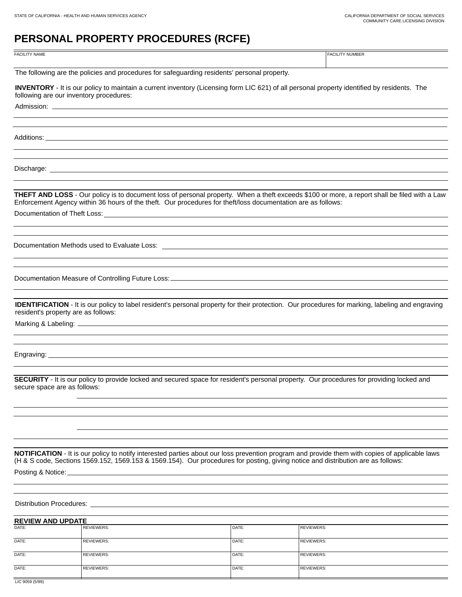# **PERSONAL PROPERTY PROCEDURES (RCFE)**

FACILITY NAME **FACILITY NUMBER** 

The following are the policies and procedures for safeguarding residents' personal property.

**INVENTORY** - It is our policy to maintain a current inventory (Licensing form LIC 621) of all personal property identified by residents. The following are our inventory procedures:

Admission: \_

Additions:

Discharge:

**THEFT AND LOSS** - Our policy is to document loss of personal property. When a theft exceeds \$100 or more, a report shall be filed with a Law Enforcement Agency within 36 hours of the theft. Our procedures for theft/loss documentation are as follows:

Documentation of Theft Loss:

Documentation Methods used to Evaluate Loss:

Documentation Measure of Controlling Future Loss:

**IDENTIFICATION** - It is our policy to label resident's personal property for their protection. Our procedures for marking, labeling and engraving resident's property are as follows:

Marking & Labeling:

Engraving:

**SECURITY** - It is our policy to provide locked and secured space for resident's personal property. Our procedures for providing locked and secure space are as follows:

**NOTIFICATION** - It is our policy to notify interested parties about our loss prevention program and provide them with copies of applicable laws (H & S code, Sections 1569.152, 1569.153 & 1569.154). Our procedures for posting, giving notice and distribution are as follows:

Posting & Notice:

Distribution Procedures:

**REVIEW AND UPDATE** 

| <b>REVIEW AND UPDAIL</b>                                                                                                                                                                                                                                                                                                                                                             |                   |       |                   |
|--------------------------------------------------------------------------------------------------------------------------------------------------------------------------------------------------------------------------------------------------------------------------------------------------------------------------------------------------------------------------------------|-------------------|-------|-------------------|
| DATE:                                                                                                                                                                                                                                                                                                                                                                                | REVIEWERS:        | DATE: | REVIEWERS:        |
| DATE:                                                                                                                                                                                                                                                                                                                                                                                | <b>REVIEWERS:</b> | DATE: | REVIEWERS:        |
| DATE:                                                                                                                                                                                                                                                                                                                                                                                | <b>REVIEWERS:</b> | DATE: | <b>REVIEWERS:</b> |
| DATE:                                                                                                                                                                                                                                                                                                                                                                                | <b>REVIEWERS:</b> | DATE: | REVIEWERS:        |
| $\overline{1}$ $\overline{1}$ $\overline{1}$ $\overline{1}$ $\overline{1}$ $\overline{1}$ $\overline{1}$ $\overline{1}$ $\overline{1}$ $\overline{1}$ $\overline{1}$ $\overline{1}$ $\overline{1}$ $\overline{1}$ $\overline{1}$ $\overline{1}$ $\overline{1}$ $\overline{1}$ $\overline{1}$ $\overline{1}$ $\overline{1}$ $\overline{1}$ $\overline{1}$ $\overline{1}$ $\overline{$ |                   |       |                   |